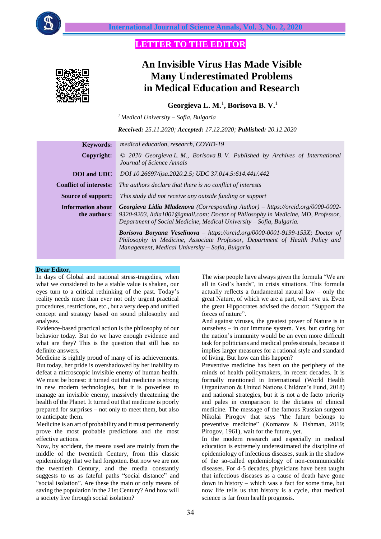

## **LETTER TO THE EDITOR**



# **An Invisible Virus Has Made Visible Many Underestimated Problems in Medical Education and Research**

**Georgieva L. M.**<sup>1</sup> **, Borisova B. V.**<sup>1</sup>

*<sup>1</sup> Medical University – Sofia, Bulgaria*

*Received: 25.11.2020; Accepted: 17.12.2020; Published: 20.12.2020*

| <b>Keywords:</b>                         | medical education, research, COVID-19                                                                                                                                                                                                       |
|------------------------------------------|---------------------------------------------------------------------------------------------------------------------------------------------------------------------------------------------------------------------------------------------|
| Copyright:                               | $\odot$ 2020 Georgieva L. M., Borisova B. V. Published by Archives of International<br>Journal of Science Annals                                                                                                                            |
| <b>DOI</b> and UDC                       | DOI 10.26697/ijsa.2020.2.5; UDC 37.014.5:614.441/.442                                                                                                                                                                                       |
| <b>Conflict of interests:</b>            | The authors declare that there is no conflict of interests                                                                                                                                                                                  |
| Source of support:                       | This study did not receive any outside funding or support                                                                                                                                                                                   |
| <b>Information about</b><br>the authors: | Georgieva Lidia Mladenova (Corresponding Author) – https://orcid.org/0000-0002-<br>9320-9203, lidia1001@gmail.com; Doctor of Philosophy in Medicine, MD, Professor,<br>Department of Social Medicine, Medical University – Sofia, Bulgaria. |
|                                          | Borisova Boryana Veselinova - https://orcid.org/0000-0001-9199-153X; Doctor of                                                                                                                                                              |

*Philosophy in Medicine, Associate Professor, Department of Health Policy and Management, Medical University – Sofia, Bulgaria.*

#### **Dear Editor,**

In days of Global and national stress-tragedies, when what we considered to be a stable value is shaken, our eyes turn to a critical rethinking of the past. Today's reality needs more than ever not only urgent practical procedures, restrictions, etc., but a very deep and unified concept and strategy based on sound philosophy and analyses.

Evidence-based practical action is the philosophy of our behavior today. But do we have enough evidence and what are they? This is the question that still has no definite answers.

Medicine is rightly proud of many of its achievements. But today, her pride is overshadowed by her inability to defeat a microscopic invisible enemy of human health. We must be honest: it turned out that medicine is strong in new modern technologies, but it is powerless to manage an invisible enemy, massively threatening the health of the Planet. It turned out that medicine is poorly prepared for surprises – not only to meet them, but also to anticipate them.

Medicine is an art of probability and it must permanently prove the most probable predictions and the most effective actions.

Now, by accident, the means used are mainly from the middle of the twentieth Century, from this classic epidemiology that we had forgotten. But now we are not the twentieth Century, and the media constantly suggests to us as fateful paths "social distance" and "social isolation". Are these the main or only means of saving the population in the 21st Century? And how will a society live through social isolation?

The wise people have always given the formula "We are all in God's hands", in crisis situations. This formula actually reflects a fundamental natural law – only the great Nature, of which we are a part, will save us. Even the great Hippocrates advised the doctor: "Support the forces of nature".

And against viruses, the greatest power of Nature is in ourselves – in our immune system. Yes, but caring for the nation's immunity would be an even more difficult task for politicians and medical professionals, because it implies larger measures for a rational style and standard of living. But how can this happen?

Preventive medicine has been on the periphery of the minds of health policymakers, in recent decades. It is formally mentioned in International (World Health Organization & United Nations Children's Fund, 2018) and national strategies, but it is not a de facto priority and pales in comparison to the dictates of clinical medicine. The message of the famous Russian surgeon Nikolai Pirogov that says "the future belongs to preventive medicine" (Komarov & Fishman, 2019; Pirogov, 1961), wait for the future, yet.

In the modern research and especially in medical education is extremely underestimated the discipline of epidemiology of infectious diseases, sunk in the shadow of the so-called epidemiology of non-communicable diseases. For 4-5 decades, physicians have been taught that infectious diseases as a cause of death have gone down in history – which was a fact for some time, but now life tells us that history is a cycle, that medical science is far from health prognosis.